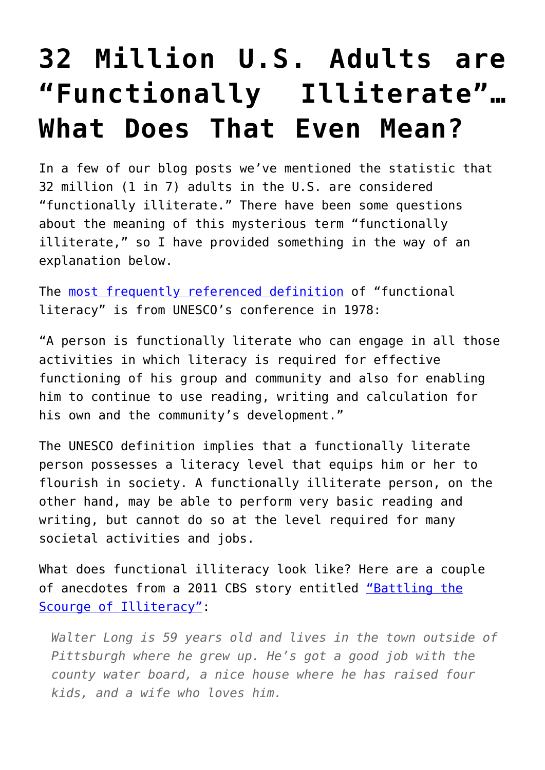## **[32 Million U.S. Adults are](https://intellectualtakeout.org/2015/08/32-million-u-s-adults-are-functionally-illiterate-what-does-that-even-mean/) ["Functionally Illiterate"…](https://intellectualtakeout.org/2015/08/32-million-u-s-adults-are-functionally-illiterate-what-does-that-even-mean/) [What Does That Even Mean?](https://intellectualtakeout.org/2015/08/32-million-u-s-adults-are-functionally-illiterate-what-does-that-even-mean/)**

In a few of our blog posts we've mentioned the statistic that 32 million (1 in 7) adults in the U.S. are considered "functionally illiterate." There have been some questions about the meaning of this mysterious term "functionally illiterate," so I have provided something in the way of an explanation below.

The [most frequently referenced definition](http://portal.unesco.org/en/ev.php-URL_ID=13136&URL_DO=DO_TOPIC&URL_SECTION=201.html) of "functional literacy" is from UNESCO's conference in 1978:

"A person is functionally literate who can engage in all those activities in which literacy is required for effective functioning of his group and community and also for enabling him to continue to use reading, writing and calculation for his own and the community's development."

The UNESCO definition implies that a functionally literate person possesses a literacy level that equips him or her to flourish in society. A functionally illiterate person, on the other hand, may be able to perform very basic reading and writing, but cannot do so at the level required for many societal activities and jobs.

What does functional illiteracy look like? Here are a couple of anecdotes from a 2011 CBS story entitled ["Battling the](http://www.cbsnews.com/news/battling-the-scourge-of-illiteracy/) [Scourge of Illiteracy"](http://www.cbsnews.com/news/battling-the-scourge-of-illiteracy/):

*Walter Long is 59 years old and lives in the town outside of Pittsburgh where he grew up. He's got a good job with the county water board, a nice house where he has raised four kids, and a wife who loves him.*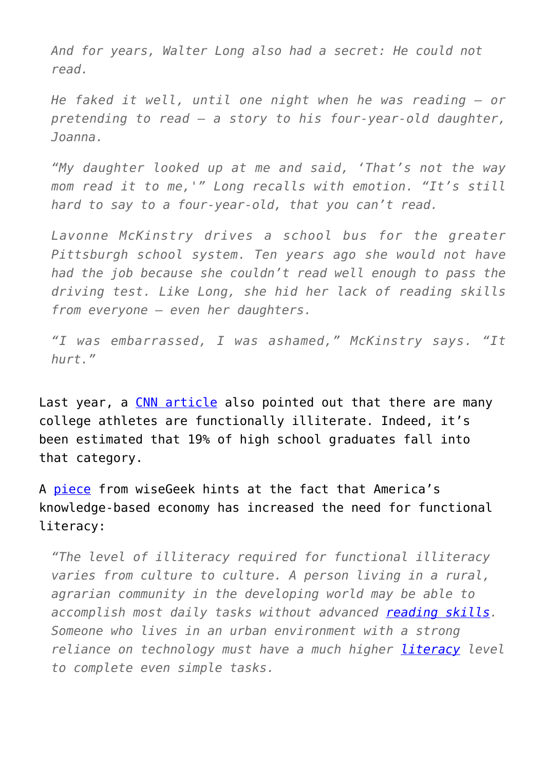*And for years, Walter Long also had a secret: He could not read.* 

*He faked it well, until one night when he was reading – or pretending to read – a story to his four-year-old daughter, Joanna.*

*"My daughter looked up at me and said, 'That's not the way mom read it to me,'" Long recalls with emotion. "It's still hard to say to a four-year-old, that you can't read.*

*Lavonne McKinstry drives a school bus for the greater Pittsburgh school system. Ten years ago she would not have had the job because she couldn't read well enough to pass the driving test. Like Long, she hid her lack of reading skills from everyone – even her daughters.* 

*"I was embarrassed, I was ashamed," McKinstry says. "It hurt."*

Last year, a [CNN article](http://www.cnn.com/2014/01/07/us/ncaa-athletes-reading-scores/) also pointed out that there are many college athletes are functionally illiterate. Indeed, it's been estimated that 19% of high school graduates fall into that category.

A [piece](http://www.wisegeek.com/what-is-functional-illiteracy.htm) from wiseGeek hints at the fact that America's knowledge-based economy has increased the need for functional literacy:

*"The level of illiteracy required for functional illiteracy varies from culture to culture. A person living in a rural, agrarian community in the developing world may be able to accomplish most daily tasks without advanced [reading skills.](http://www.wisegeek.com/how-can-i-improve-my-reading-skills.htm) Someone who lives in an urban environment with a strong reliance on technology must have a much higher [literacy](http://www.wisegeek.com/what-is-literacy.htm) level to complete even simple tasks.*